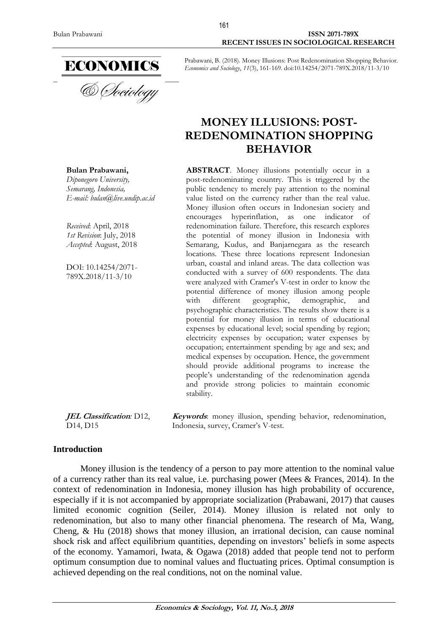**Bulan Prabawani,** *Diponegoro University, [Semarang,](https://en.wikipedia.org/wiki/Podgorica) Indonesia,*

*Received*: April, 2018 *1st Revision*: July, 2018 *Accepted*: August, 2018

DOI: 10.14254/2071- 789X.2018/11-3/10

*E-mail: bulan@live.undip.ac.id*

Bulan Prabawani **ISSN 2071-789X RECENT ISSUES IN SOCIOLOGICAL RESEARCH**

> Prabawani, B. (2018). Money Illusions: Post Redenomination Shopping Behavior. *Economics and Sociology*, *11*(3), 161-169. doi:10.14254/2071-789X.2018/11-3/10

# **MONEY ILLUSIONS: POST-REDENOMINATION SHOPPING BEHAVIOR**

**ABSTRACT**. Money illusions potentially occur in a post-redenominating country. This is triggered by the public tendency to merely pay attention to the nominal value listed on the currency rather than the real value. Money illusion often occurs in Indonesian society and encourages hyperinflation, as one indicator of redenomination failure. Therefore, this research explores the potential of money illusion in Indonesia with Semarang, Kudus, and Banjarnegara as the research locations. These three locations represent Indonesian urban, coastal and inland areas. The data collection was conducted with a survey of 600 respondents. The data were analyzed with Cramer's V-test in order to know the potential difference of money illusion among people<br>with different geographic, demographic, and with different geographic, demographic, and psychographic characteristics. The results show there is a potential for money illusion in terms of educational expenses by educational level; social spending by region; electricity expenses by occupation; water expenses by occupation; entertainment spending by age and sex; and medical expenses by occupation. Hence, the government should provide additional programs to increase the people's understanding of the redenomination agenda and provide strong policies to maintain economic stability.

**JEL Classification***:* D12, D14, D15 **Keywords**: money illusion, spending behavior, redenomination, Indonesia, survey, Cramer's V-test.

### **Introduction**

Money illusion is the tendency of a person to pay more attention to the nominal value of a currency rather than its real value, i.e. purchasing power (Mees & Frances, 2014). In the context of redenomination in Indonesia, money illusion has high probability of occurence, especially if it is not accompanied by appropriate socialization (Prabawani, 2017) that causes limited economic cognition (Seiler, 2014). Money illusion is related not only to redenomination, but also to many other financial phenomena. The research of Ma, Wang, Cheng, & Hu (2018) shows that money illusion, an irrational decision, can cause nominal shock risk and affect equilibrium quantities, depending on investors' beliefs in some aspects of the economy. Yamamori, Iwata, & Ogawa (2018) added that people tend not to perform optimum consumption due to nominal values and fluctuating prices. Optimal consumption is achieved depending on the real conditions, not on the nominal value.

161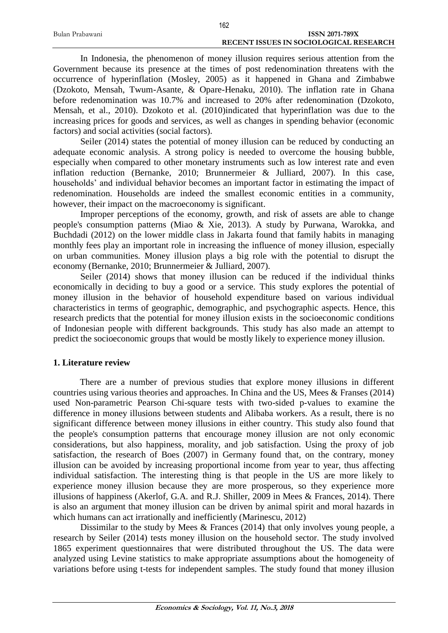|                 | 162                                           |
|-----------------|-----------------------------------------------|
| Bulan Prabawani | <b>ISSN 2071-789X</b>                         |
|                 | <b>RECENT ISSUES IN SOCIOLOGICAL RESEARCH</b> |

In Indonesia, the phenomenon of money illusion requires serious attention from the Government because its presence at the times of post redenomination threatens with the occurrence of hyperinflation (Mosley, 2005) as it happened in Ghana and Zimbabwe (Dzokoto, Mensah, Twum-Asante, & Opare-Henaku, 2010). The inflation rate in Ghana before redenomination was 10.7% and increased to 20% after redenomination (Dzokoto, Mensah, et al., 2010). Dzokoto et al. (2010)indicated that hyperinflation was due to the increasing prices for goods and services, as well as changes in spending behavior (economic factors) and social activities (social factors).

Seiler (2014) states the potential of money illusion can be reduced by conducting an adequate economic analysis. A strong policy is needed to overcome the housing bubble, especially when compared to other monetary instruments such as low interest rate and even inflation reduction (Bernanke, 2010; Brunnermeier & Julliard, 2007). In this case, households' and individual behavior becomes an important factor in estimating the impact of redenomination. Households are indeed the smallest economic entities in a community, however, their impact on the macroeconomy is significant.

Improper perceptions of the economy, growth, and risk of assets are able to change people's consumption patterns (Miao & Xie, 2013). A study by Purwana, Warokka, and Buchdadi (2012) on the lower middle class in Jakarta found that family habits in managing monthly fees play an important role in increasing the influence of money illusion, especially on urban communities. Money illusion plays a big role with the potential to disrupt the economy (Bernanke, 2010; Brunnermeier & Julliard, 2007).

Seiler (2014) shows that money illusion can be reduced if the individual thinks economically in deciding to buy a good or a service. This study explores the potential of money illusion in the behavior of household expenditure based on various individual characteristics in terms of geographic, demographic, and psychographic aspects. Hence, this research predicts that the potential for money illusion exists in the socioeconomic conditions of Indonesian people with different backgrounds. This study has also made an attempt to predict the socioeconomic groups that would be mostly likely to experience money illusion.

# **1. Literature review**

There are a number of previous studies that explore money illusions in different countries using various theories and approaches. In China and the US, Mees & Franses (2014) used Non-parametric Pearson Chi-square tests with two-sided p-values to examine the difference in money illusions between students and Alibaba workers. As a result, there is no significant difference between money illusions in either country. This study also found that the people's consumption patterns that encourage money illusion are not only economic considerations, but also happiness, morality, and job satisfaction. Using the proxy of job satisfaction, the research of Boes (2007) in Germany found that, on the contrary, money illusion can be avoided by increasing proportional income from year to year, thus affecting individual satisfaction. The interesting thing is that people in the US are more likely to experience money illusion because they are more prosperous, so they experience more illusions of happiness (Akerlof, G.A. and R.J. Shiller, 2009 in Mees & Frances, 2014). There is also an argument that money illusion can be driven by animal spirit and moral hazards in which humans can act irrationally and inefficiently (Marinescu, 2012)

Dissimilar to the study by Mees & Frances (2014) that only involves young people, a research by Seiler (2014) tests money illusion on the household sector. The study involved 1865 experiment questionnaires that were distributed throughout the US. The data were analyzed using Levine statistics to make appropriate assumptions about the homogeneity of variations before using t-tests for independent samples. The study found that money illusion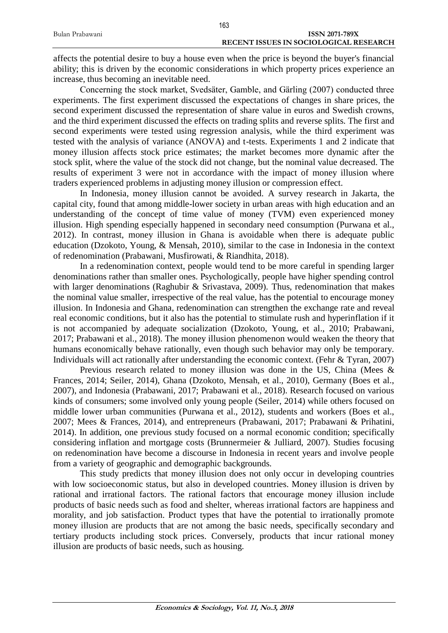|                 | 163                                           |
|-----------------|-----------------------------------------------|
| Bulan Prabawani | <b>ISSN 2071-789X</b>                         |
|                 | <b>RECENT ISSUES IN SOCIOLOGICAL RESEARCH</b> |

affects the potential desire to buy a house even when the price is beyond the buyer's financial ability; this is driven by the economic considerations in which property prices experience an increase, thus becoming an inevitable need.

Concerning the stock market, Svedsäter, Gamble, and Gärling (2007) conducted three experiments. The first experiment discussed the expectations of changes in share prices, the second experiment discussed the representation of share value in euros and Swedish crowns, and the third experiment discussed the effects on trading splits and reverse splits. The first and second experiments were tested using regression analysis, while the third experiment was tested with the analysis of variance (ANOVA) and t-tests. Experiments 1 and 2 indicate that money illusion affects stock price estimates; the market becomes more dynamic after the stock split, where the value of the stock did not change, but the nominal value decreased. The results of experiment 3 were not in accordance with the impact of money illusion where traders experienced problems in adjusting money illusion or compression effect.

In Indonesia, money illusion cannot be avoided. A survey research in Jakarta, the capital city, found that among middle-lower society in urban areas with high education and an understanding of the concept of time value of money (TVM) even experienced money illusion. High spending especially happened in secondary need consumption (Purwana et al., 2012). In contrast, money illusion in Ghana is avoidable when there is adequate public education (Dzokoto, Young, & Mensah, 2010), similar to the case in Indonesia in the context of redenomination (Prabawani, Musfirowati, & Riandhita, 2018).

In a redenomination context, people would tend to be more careful in spending larger denominations rather than smaller ones. Psychologically, people have higher spending control with larger denominations (Raghubir & Srivastava, 2009). Thus, redenomination that makes the nominal value smaller, irrespective of the real value, has the potential to encourage money illusion. In Indonesia and Ghana, redenomination can strengthen the exchange rate and reveal real economic conditions, but it also has the potential to stimulate rush and hyperinflation if it is not accompanied by adequate socialization (Dzokoto, Young, et al., 2010; Prabawani, 2017; Prabawani et al., 2018). The money illusion phenomenon would weaken the theory that humans economically behave rationally, even though such behavior may only be temporary. Individuals will act rationally after understanding the economic context. (Fehr & Tyran, 2007)

Previous research related to money illusion was done in the US, China (Mees & Frances, 2014; Seiler, 2014), Ghana (Dzokoto, Mensah, et al., 2010), Germany (Boes et al., 2007), and Indonesia (Prabawani, 2017; Prabawani et al., 2018). Research focused on various kinds of consumers; some involved only young people (Seiler, 2014) while others focused on middle lower urban communities (Purwana et al., 2012), students and workers (Boes et al., 2007; Mees & Frances, 2014), and entrepreneurs (Prabawani, 2017; Prabawani & Prihatini, 2014). In addition, one previous study focused on a normal economic condition; specifically considering inflation and mortgage costs (Brunnermeier & Julliard, 2007). Studies focusing on redenomination have become a discourse in Indonesia in recent years and involve people from a variety of geographic and demographic backgrounds.

This study predicts that money illusion does not only occur in developing countries with low socioeconomic status, but also in developed countries. Money illusion is driven by rational and irrational factors. The rational factors that encourage money illusion include products of basic needs such as food and shelter, whereas irrational factors are happiness and morality, and job satisfaction. Product types that have the potential to irrationally promote money illusion are products that are not among the basic needs, specifically secondary and tertiary products including stock prices. Conversely, products that incur rational money illusion are products of basic needs, such as housing.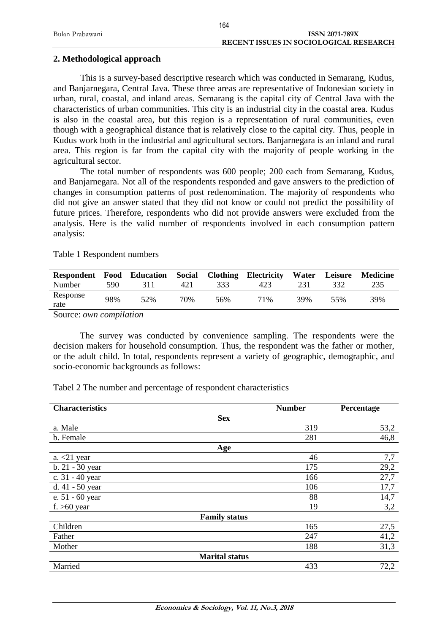|                 | 164                                           |
|-----------------|-----------------------------------------------|
| Bulan Prabawani | <b>ISSN 2071-789X</b>                         |
|                 | <b>RECENT ISSUES IN SOCIOLOGICAL RESEARCH</b> |

#### **2. Methodological approach**

This is a survey-based descriptive research which was conducted in Semarang, Kudus, and Banjarnegara, Central Java. These three areas are representative of Indonesian society in urban, rural, coastal, and inland areas. Semarang is the capital city of Central Java with the characteristics of urban communities. This city is an industrial city in the coastal area. Kudus is also in the coastal area, but this region is a representation of rural communities, even though with a geographical distance that is relatively close to the capital city. Thus, people in Kudus work both in the industrial and agricultural sectors. Banjarnegara is an inland and rural area. This region is far from the capital city with the majority of people working in the agricultural sector.

The total number of respondents was 600 people; 200 each from Semarang, Kudus, and Banjarnegara. Not all of the respondents responded and gave answers to the prediction of changes in consumption patterns of post redenomination. The majority of respondents who did not give an answer stated that they did not know or could not predict the possibility of future prices. Therefore, respondents who did not provide answers were excluded from the analysis. Here is the valid number of respondents involved in each consumption pattern analysis:

Table 1 Respondent numbers

| <b>Respondent</b> | Food | <b>Education</b> | <b>Social</b> | <b>Clothing</b> | Electricity | Water | Leisure | <b>Medicine</b> |
|-------------------|------|------------------|---------------|-----------------|-------------|-------|---------|-----------------|
| Number            | 590  |                  | 421           | 333             | 423         |       |         | 235             |
| Response<br>rate  | 98%  | 52%              | 70%           | 56%             | 71%         | 39%   | 55%     | 39%             |

Source: *own compilation*

The survey was conducted by convenience sampling. The respondents were the decision makers for household consumption. Thus, the respondent was the father or mother, or the adult child. In total, respondents represent a variety of geographic, demographic, and socio-economic backgrounds as follows:

Tabel 2 The number and percentage of respondent characteristics

| <b>Characteristics</b> | <b>Number</b>         | Percentage |
|------------------------|-----------------------|------------|
|                        | <b>Sex</b>            |            |
| a. Male                | 319                   | 53,2       |
| b. Female              | 281                   | 46,8       |
|                        | Age                   |            |
| a. $<$ 21 year         | 46                    | 7,7        |
| b. 21 - 30 year        | 175                   | 29,2       |
| c. 31 - 40 year        | 166                   | 27,7       |
| d. 41 - 50 year        | 106                   | 17,7       |
| e. 51 - 60 year        | 88                    | 14,7       |
| f. $>60$ year          | 19                    | 3,2        |
|                        | <b>Family status</b>  |            |
| Children               | 165                   | 27,5       |
| Father                 | 247                   | 41,2       |
| Mother                 | 188                   | 31,3       |
|                        | <b>Marital status</b> |            |
| Married                | 433                   | 72,2       |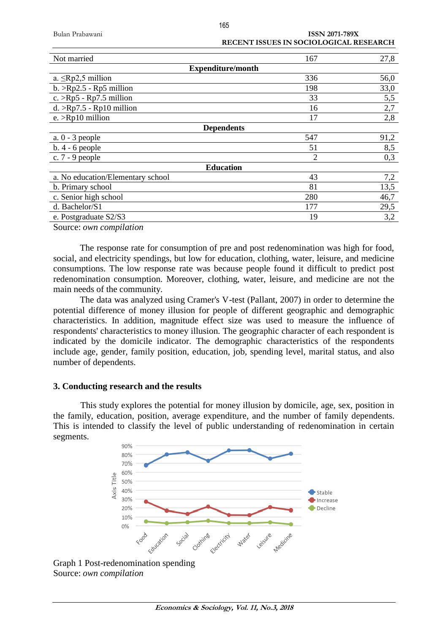| Bulan Prabawani |
|-----------------|
|-----------------|

**ISSN 2071-789X** 

|                                   | RECENT ISSUES IN SOCIOLOGICAL RESEARCH |      |
|-----------------------------------|----------------------------------------|------|
| Not married                       | 167                                    | 27,8 |
|                                   | <b>Expenditure/month</b>               |      |
| a. $\leq$ Rp2,5 million           | 336                                    | 56,0 |
| $b. >Rp2.5 -Rp5$ million          | 198                                    | 33,0 |
| $c. >Rp5$ - Rp7.5 million         | 33                                     | 5,5  |
| $d. >Rp7.5 -Rp10$ million         | 16                                     | 2,7  |
| e. $>$ Rp10 million               | 17                                     | 2,8  |
|                                   | <b>Dependents</b>                      |      |
| $a. 0 - 3$ people                 | 547                                    | 91,2 |
| $b.4 - 6$ people                  | 51                                     | 8,5  |
| c. $7 - 9$ people                 | $\overline{2}$                         | 0,3  |
|                                   | <b>Education</b>                       |      |
| a. No education/Elementary school | 43                                     | 7,2  |
| b. Primary school                 | 81                                     | 13,5 |
| c. Senior high school             | 280                                    | 46,7 |
| d. Bachelor/S1                    | 177                                    | 29,5 |
| e. Postgraduate S2/S3             | 19                                     | 3,2  |

Source: *own compilation*

The response rate for consumption of pre and post redenomination was high for food, social, and electricity spendings, but low for education, clothing, water, leisure, and medicine consumptions. The low response rate was because people found it difficult to predict post redenomination consumption. Moreover, clothing, water, leisure, and medicine are not the main needs of the community.

The data was analyzed using Cramer's V-test (Pallant, 2007) in order to determine the potential difference of money illusion for people of different geographic and demographic characteristics. In addition, magnitude effect size was used to measure the influence of respondents' characteristics to money illusion. The geographic character of each respondent is indicated by the domicile indicator. The demographic characteristics of the respondents include age, gender, family position, education, job, spending level, marital status, and also number of dependents.

### **3. Conducting research and the results**

This study explores the potential for money illusion by domicile, age, sex, position in the family, education, position, average expenditure, and the number of family dependents. This is intended to classify the level of public understanding of redenomination in certain segments.



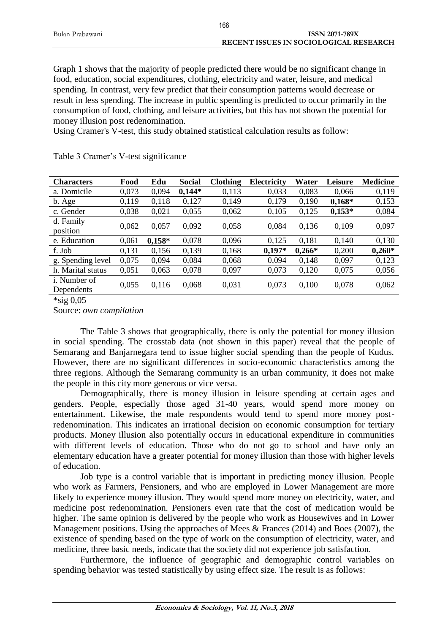|                 | 166                                           |
|-----------------|-----------------------------------------------|
| Bulan Prabawani | <b>ISSN 2071-789X</b>                         |
|                 | <b>RECENT ISSUES IN SOCIOLOGICAL RESEARCH</b> |

Graph 1 shows that the majority of people predicted there would be no significant change in food, education, social expenditures, clothing, electricity and water, leisure, and medical spending. In contrast, very few predict that their consumption patterns would decrease or result in less spending. The increase in public spending is predicted to occur primarily in the consumption of food, clothing, and leisure activities, but this has not shown the potential for money illusion post redenomination.

Using Cramer's V-test, this study obtained statistical calculation results as follow:

| <b>Characters</b>                  | Food  | Edu      | Social   | <b>Clothing</b> | <b>Electricity</b> | Water    | Leisure  | <b>Medicine</b> |
|------------------------------------|-------|----------|----------|-----------------|--------------------|----------|----------|-----------------|
| a. Domicile                        | 0,073 | 0,094    | $0,144*$ | 0,113           | 0,033              | 0,083    | 0,066    | 0,119           |
| b. Age                             | 0,119 | 0,118    | 0,127    | 0,149           | 0,179              | 0,190    | $0,168*$ | 0,153           |
| c. Gender                          | 0,038 | 0,021    | 0,055    | 0,062           | 0,105              | 0,125    | $0,153*$ | 0,084           |
| d. Family<br>position              | 0,062 | 0,057    | 0,092    | 0,058           | 0.084              | 0,136    | 0,109    | 0,097           |
| e. Education                       | 0,061 | $0,158*$ | 0,078    | 0,096           | 0,125              | 0,181    | 0,140    | 0,130           |
| f. Job                             | 0,131 | 0,156    | 0,139    | 0,168           | $0,197*$           | $0,266*$ | 0,200    | $0,260*$        |
| g. Spending level                  | 0,075 | 0,094    | 0,084    | 0,068           | 0,094              | 0,148    | 0,097    | 0,123           |
| h. Marital status                  | 0,051 | 0,063    | 0,078    | 0,097           | 0,073              | 0,120    | 0,075    | 0,056           |
| <i>i</i> . Number of<br>Dependents | 0,055 | 0,116    | 0,068    | 0,031           | 0,073              | 0,100    | 0,078    | 0,062           |

Table 3 Cramer's V-test significance

 $*$ sig 0,05

Source: *own compilation*

The Table 3 shows that geographically, there is only the potential for money illusion in social spending. The crosstab data (not shown in this paper) reveal that the people of Semarang and Banjarnegara tend to issue higher social spending than the people of Kudus. However, there are no significant differences in socio-economic characteristics among the three regions. Although the Semarang community is an urban community, it does not make the people in this city more generous or vice versa.

Demographically, there is money illusion in leisure spending at certain ages and genders. People, especially those aged 31-40 years, would spend more money on entertainment. Likewise, the male respondents would tend to spend more money postredenomination. This indicates an irrational decision on economic consumption for tertiary products. Money illusion also potentially occurs in educational expenditure in communities with different levels of education. Those who do not go to school and have only an elementary education have a greater potential for money illusion than those with higher levels of education.

Job type is a control variable that is important in predicting money illusion. People who work as Farmers, Pensioners, and who are employed in Lower Management are more likely to experience money illusion. They would spend more money on electricity, water, and medicine post redenomination. Pensioners even rate that the cost of medication would be higher. The same opinion is delivered by the people who work as Housewives and in Lower Management positions. Using the approaches of Mees & Frances (2014) and Boes (2007), the existence of spending based on the type of work on the consumption of electricity, water, and medicine, three basic needs, indicate that the society did not experience job satisfaction.

Furthermore, the influence of geographic and demographic control variables on spending behavior was tested statistically by using effect size. The result is as follows: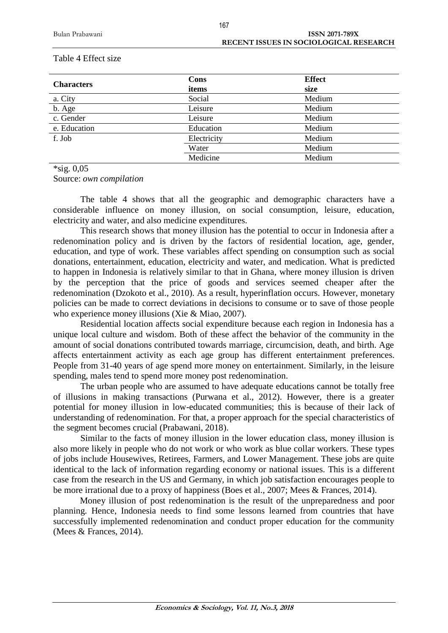| <b>Characters</b> | Cons        | <b>Effect</b> |
|-------------------|-------------|---------------|
|                   | items       | size          |
| a. City           | Social      | Medium        |
| b. Age            | Leisure     | Medium        |
| c. Gender         | Leisure     | Medium        |
| e. Education      | Education   | Medium        |
| f. Job            | Electricity | Medium        |
|                   | Water       | Medium        |
|                   | Medicine    | Medium        |

#### Table 4 Effect size

\*sig. 0,05

Source: *own compilation*

The table 4 shows that all the geographic and demographic characters have a considerable influence on money illusion, on social consumption, leisure, education, electricity and water, and also medicine expenditures.

This research shows that money illusion has the potential to occur in Indonesia after a redenomination policy and is driven by the factors of residential location, age, gender, education, and type of work. These variables affect spending on consumption such as social donations, entertainment, education, electricity and water, and medication. What is predicted to happen in Indonesia is relatively similar to that in Ghana, where money illusion is driven by the perception that the price of goods and services seemed cheaper after the redenomination (Dzokoto et al., 2010). As a result, hyperinflation occurs. However, monetary policies can be made to correct deviations in decisions to consume or to save of those people who experience money illusions (Xie & Miao, 2007).

Residential location affects social expenditure because each region in Indonesia has a unique local culture and wisdom. Both of these affect the behavior of the community in the amount of social donations contributed towards marriage, circumcision, death, and birth. Age affects entertainment activity as each age group has different entertainment preferences. People from 31-40 years of age spend more money on entertainment. Similarly, in the leisure spending, males tend to spend more money post redenomination.

The urban people who are assumed to have adequate educations cannot be totally free of illusions in making transactions (Purwana et al., 2012). However, there is a greater potential for money illusion in low-educated communities; this is because of their lack of understanding of redenomination. For that, a proper approach for the special characteristics of the segment becomes crucial (Prabawani, 2018).

Similar to the facts of money illusion in the lower education class, money illusion is also more likely in people who do not work or who work as blue collar workers. These types of jobs include Housewives, Retirees, Farmers, and Lower Management. These jobs are quite identical to the lack of information regarding economy or national issues. This is a different case from the research in the US and Germany, in which job satisfaction encourages people to be more irrational due to a proxy of happiness (Boes et al., 2007; Mees & Frances, 2014).

Money illusion of post redenomination is the result of the unpreparedness and poor planning. Hence, Indonesia needs to find some lessons learned from countries that have successfully implemented redenomination and conduct proper education for the community (Mees & Frances, 2014).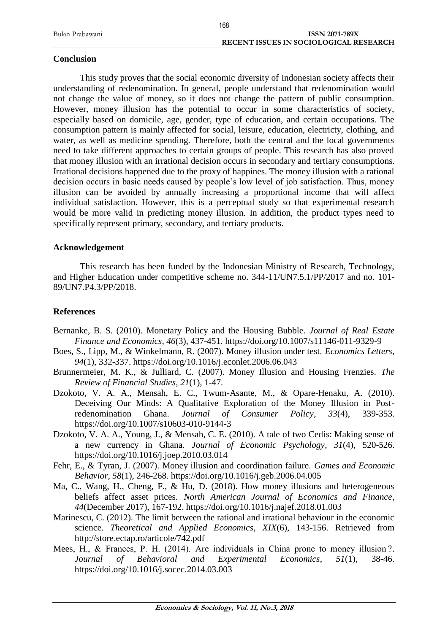|                 | $\sim$                                        |
|-----------------|-----------------------------------------------|
| Bulan Prabawani | <b>ISSN 2071-789X</b>                         |
|                 | <b>RECENT ISSUES IN SOCIOLOGICAL RESEARCH</b> |
|                 |                                               |

### **Conclusion**

This study proves that the social economic diversity of Indonesian society affects their understanding of redenomination. In general, people understand that redenomination would not change the value of money, so it does not change the pattern of public consumption. However, money illusion has the potential to occur in some characteristics of society, especially based on domicile, age, gender, type of education, and certain occupations. The consumption pattern is mainly affected for social, leisure, education, electricty, clothing, and water, as well as medicine spending. Therefore, both the central and the local governments need to take different approaches to certain groups of people. This research has also proved that money illusion with an irrational decision occurs in secondary and tertiary consumptions. Irrational decisions happened due to the proxy of happines. The money illusion with a rational decision occurs in basic needs caused by people's low level of job satisfaction. Thus, money illusion can be avoided by annually increasing a proportional income that will affect individual satisfaction. However, this is a perceptual study so that experimental research would be more valid in predicting money illusion. In addition, the product types need to specifically represent primary, secondary, and tertiary products.

# **Acknowledgement**

This research has been funded by the Indonesian Ministry of Research, Technology, and Higher Education under competitive scheme no. 344-11/UN7.5.1/PP/2017 and no. 101- 89/UN7.P4.3/PP/2018.

# **References**

- Bernanke, B. S. (2010). Monetary Policy and the Housing Bubble. *Journal of Real Estate Finance and Economics*, *46*(3), 437-451. https://doi.org/10.1007/s11146-011-9329-9
- Boes, S., Lipp, M., & Winkelmann, R. (2007). Money illusion under test. *Economics Letters*, *94*(1), 332-337. https://doi.org/10.1016/j.econlet.2006.06.043
- Brunnermeier, M. K., & Julliard, C. (2007). Money Illusion and Housing Frenzies. *The Review of Financial Studies*, *21*(1), 1-47.
- Dzokoto, V. A. A., Mensah, E. C., Twum-Asante, M., & Opare-Henaku, A. (2010). Deceiving Our Minds: A Qualitative Exploration of the Money Illusion in Postredenomination Ghana. *Journal of Consumer Policy*, *33*(4), 339-353. https://doi.org/10.1007/s10603-010-9144-3
- Dzokoto, V. A. A., Young, J., & Mensah, C. E. (2010). A tale of two Cedis: Making sense of a new currency in Ghana. *Journal of Economic Psychology*, *31*(4), 520-526. https://doi.org/10.1016/j.joep.2010.03.014
- Fehr, E., & Tyran, J. (2007). Money illusion and coordination failure. *Games and Economic Behavior*, *58*(1), 246-268. https://doi.org/10.1016/j.geb.2006.04.005
- Ma, C., Wang, H., Cheng, F., & Hu, D. (2018). How money illusions and heterogeneous beliefs affect asset prices. *North American Journal of Economics and Finance*, *44*(December 2017), 167-192. https://doi.org/10.1016/j.najef.2018.01.003
- Marinescu, C. (2012). The limit between the rational and irrational behaviour in the economic science. *Theoretical and Applied Economics*, *XIX*(6), 143-156. Retrieved from http://store.ectap.ro/articole/742.pdf
- Mees, H., & Frances, P. H. (2014). Are individuals in China prone to money illusion ?. *Journal of Behavioral and Experimental Economics*, *51*(1), 38-46. https://doi.org/10.1016/j.socec.2014.03.003

168